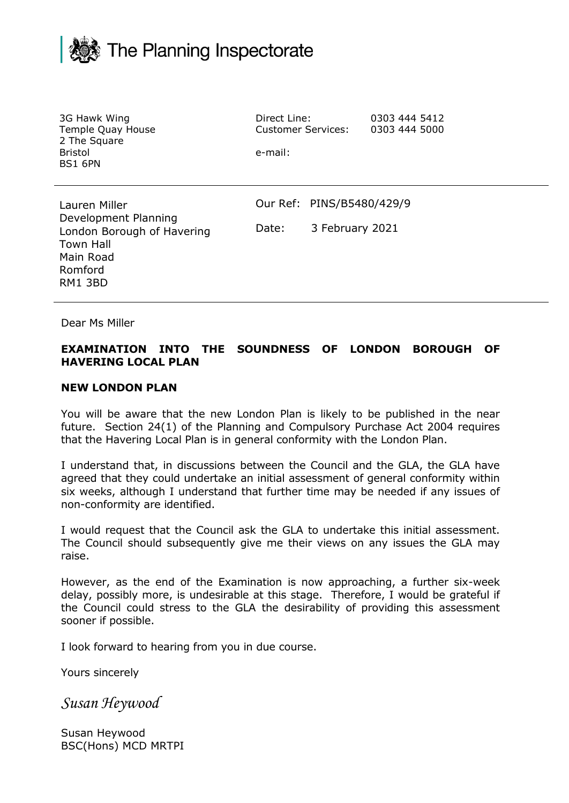

| 3G Hawk Wing<br>Temple Quay House<br>2 The Square<br><b>Bristol</b><br><b>BS1 6PN</b>                                      | Direct Line:<br><b>Customer Services:</b><br>e-mail: |                                              | 0303 444 5412<br>0303 444 5000 |
|----------------------------------------------------------------------------------------------------------------------------|------------------------------------------------------|----------------------------------------------|--------------------------------|
| Lauren Miller<br>Development Planning<br>London Borough of Havering<br><b>Town Hall</b><br>Main Road<br>Romford<br>RM1 3BD | Date:                                                | Our Ref: PINS/B5480/429/9<br>3 February 2021 |                                |

Dear Ms Miller

## **EXAMINATION INTO THE SOUNDNESS OF LONDON BOROUGH OF HAVERING LOCAL PLAN**

## **NEW LONDON PLAN**

You will be aware that the new London Plan is likely to be published in the near future. Section 24(1) of the Planning and Compulsory Purchase Act 2004 requires that the Havering Local Plan is in general conformity with the London Plan.

I understand that, in discussions between the Council and the GLA, the GLA have agreed that they could undertake an initial assessment of general conformity within six weeks, although I understand that further time may be needed if any issues of non-conformity are identified.

I would request that the Council ask the GLA to undertake this initial assessment. The Council should subsequently give me their views on any issues the GLA may raise.

However, as the end of the Examination is now approaching, a further six-week delay, possibly more, is undesirable at this stage. Therefore, I would be grateful if the Council could stress to the GLA the desirability of providing this assessment sooner if possible.

I look forward to hearing from you in due course.

Yours sincerely

*Susan Heywood*

Susan Heywood BSC(Hons) MCD MRTPI